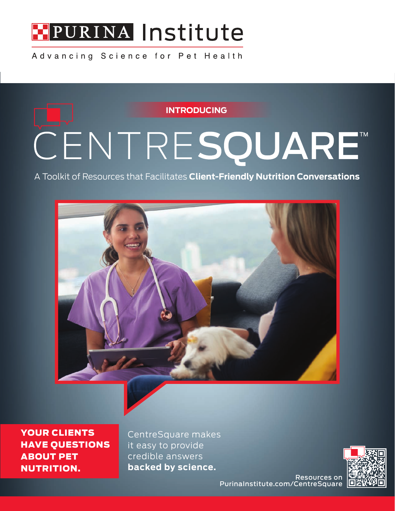

Advancing Science for Pet Health

**INTRODUCING**

# CENTRESQUARE™

A Toolkit of Resources that Facilitates **Client-Friendly Nutrition Conversations**



YOUR CLIENTS HAVE QUESTIONS ABOUT PET NUTRITION.

CentreSquare makes it easy to provide credible answers **backed by science.**



Resources on PurinaInstitute.com/CentreSquare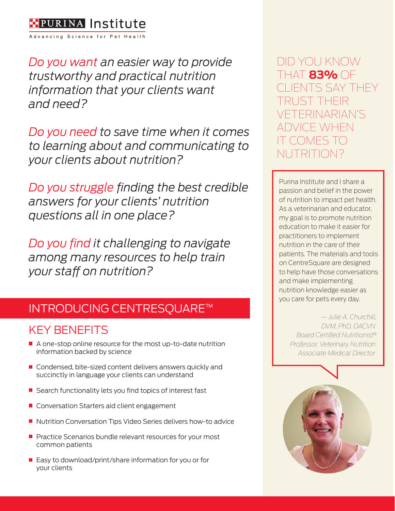

Advancing Science for Pet Health

*Do you want an easier way to provide trustworthy and practical nutrition information that your clients want and need?* 

*Do you need to save time when it comes to learning about and communicating to your clients about nutrition?* 

*Do you struggle finding the best credible answers for your clients' nutrition questions all in one place?*

*Do you find it challenging to navigate among many resources to help train your staff on nutrition?* 

## INTRODUCING CENTRESQUARE™

## KEY BENEFITS

- A one-stop online resource for the most up-to-date nutrition information backed by science
- Condensed, bite-sized content delivers answers quickly and succinctly in language your clients can understand
- Search functionality lets you find topics of interest fast
- Conversation Starters aid client engagement
- Nutrition Conversation Tips Video Series delivers how-to advice
- Practice Scenarios bundle relevant resources for your most common patients
- $\blacksquare$  Easy to download/print/share information for you or for your clients

DID YOU KNOW THAT **83%** OF NTS SAY THEY RI IST TH VETERINARIAN'S CE WHEN IT COMES TO NUTRITION?

Purina Institute and I share a passion and belief in the power of nutrition to impact pet health. As a veterinarian and educator, my goal is to promote nutrition education to make it easier for practitioners to implement nutrition in the care of their patients. The materials and tools on CentreSquare are designed to help have those conversations and make implementing nutrition knowledge easier as you care for pets every day.

> *— Julie A. Churchill, DVM, PhD, DACVN Board Certified Nutritionist® Professor, Veterinary Nutrition Associate Medical Director*

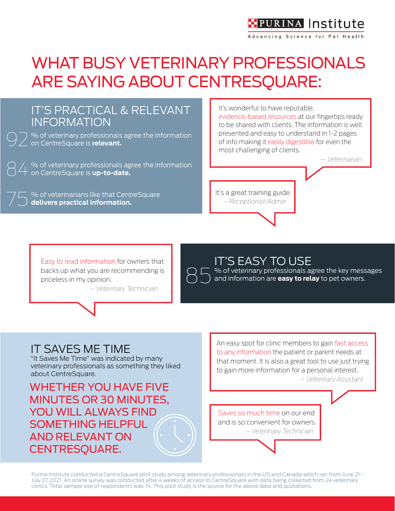## **H**PURINA Institute

Advancing Science for Pet Health

## WHAT BUSY VETERINARY PROFESSIONALS ARE SAYING ABOUT CENTRESQUARE:



Easy to read information for owners that backs up what you are recommending is priceless in my opinion.

 *– Veterinary Technician*



#### **IT'S EASY TO USE**

% of veterinary professionals agree the key messages and information are **easy to relay** to pet owners.

#### IT SAVES ME TIME

"It Saves Me Time" was indicated by many veterinary professionals as something they liked about CentreSquare.

WHETHER YOU HAVE FIVE MINUTES OR 30 MINUTES, YOU WILL ALWAYS FIND SOMETHING HELPFUL AND RELEVANT ON CENTRESQUARE.

An easy spot for clinic members to gain fast access to any information the patient or parent needs at that moment. It is also a great tool to use just trying to gain more information for a personal interest.

 *– Veterinary Assistant*

Saves so much time on our end and is so convenient for owners.  *– Veterinary Technician*

Purina Institute conducted a CentreSquare pilot study among veterinary professionals in the US and Canada which ran from June 21 - July 27, 2021. An online survey was conducted after 4 weeks of access to CentreSquare with data being collected from 24 veterinary clinics. Total sample size of respondents was 74. This pilot study is the source for the above data and quotations.